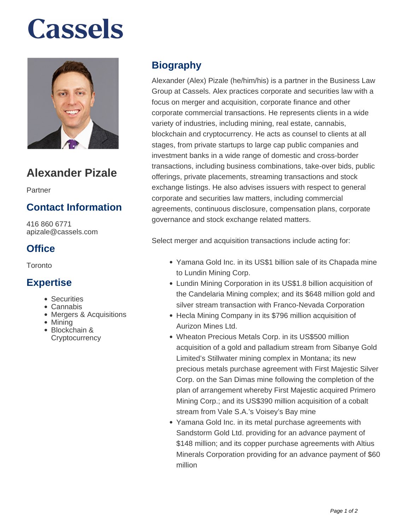# **Cassels**



## **Alexander Pizale**

Partner

### **Contact Information**

416 860 6771 apizale@cassels.com

### **Office**

**Toronto** 

#### **Expertise**

- Securities
- Cannabis
- Mergers & Acquisitions
- Mining
- Blockchain & **Cryptocurrency**

### **Biography**

Alexander (Alex) Pizale (he/him/his) is a partner in the Business Law Group at Cassels. Alex practices corporate and securities law with a focus on merger and acquisition, corporate finance and other corporate commercial transactions. He represents clients in a wide variety of industries, including mining, real estate, cannabis, blockchain and cryptocurrency. He acts as counsel to clients at all stages, from private startups to large cap public companies and investment banks in a wide range of domestic and cross-border transactions, including business combinations, take-over bids, public offerings, private placements, streaming transactions and stock exchange listings. He also advises issuers with respect to general corporate and securities law matters, including commercial agreements, continuous disclosure, compensation plans, corporate governance and stock exchange related matters.

Select merger and acquisition transactions include acting for:

- Yamana Gold Inc. in its US\$1 billion sale of its Chapada mine to Lundin Mining Corp.
- Lundin Mining Corporation in its US\$1.8 billion acquisition of the Candelaria Mining complex; and its \$648 million gold and silver stream transaction with Franco-Nevada Corporation
- Hecla Mining Company in its \$796 million acquisition of Aurizon Mines Ltd.
- Wheaton Precious Metals Corp. in its US\$500 million acquisition of a gold and palladium stream from Sibanye Gold Limited's Stillwater mining complex in Montana; its new precious metals purchase agreement with First Majestic Silver Corp. on the San Dimas mine following the completion of the plan of arrangement whereby First Majestic acquired Primero Mining Corp.; and its US\$390 million acquisition of a cobalt stream from Vale S.A.'s Voisey's Bay mine
- Yamana Gold Inc. in its metal purchase agreements with Sandstorm Gold Ltd. providing for an advance payment of \$148 million; and its copper purchase agreements with Altius Minerals Corporation providing for an advance payment of \$60 million